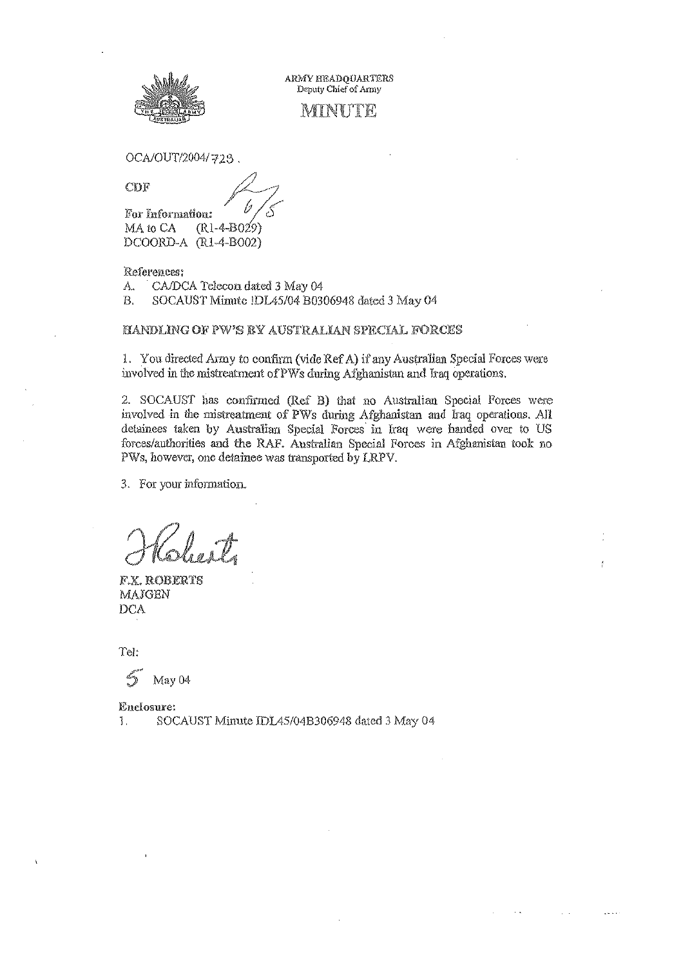

ARMY BEADOUARTERS Deputy Chief of Army

## MINUTE

OCA/OUT/2004/728.

CDF

For Information:  $(R1-4-B029)$ MA to CA DCOORD-A (R1-4-B002)

References:

A., CA/DCA Telecon dated 3 May 04

SOCAUST Minute !DL45/04 B0306948 dated 3 May 04 Β.

HANDLING OF PW'S BY AUSTRALIAN SPECIAL FORCES

1. You directed Army to confirm (vide Ref A) if any Australian Special Forces were involved in the mistreatment of PWs during Afghanistan and Iraq operations.

2. SOCAUST has confirmed (Ref B) that no Australian Special Forces were involved in the mistreatment of PWs during Afghanistan and Iraq operations. All detainees taken by Australian Special Forces in Iraq were handed over to US forces/authorities and the RAF. Australian Special Forces in Afghanistan took no PWs, however, one detainee was transported by LRPV.

3. For your information.

F.X. ROBERTS MAJGEN DCA

Tel:

May 04

Enclosure: SOCAUST Minute IDL45/04B306948 dated 3 May 04 Ĵ.